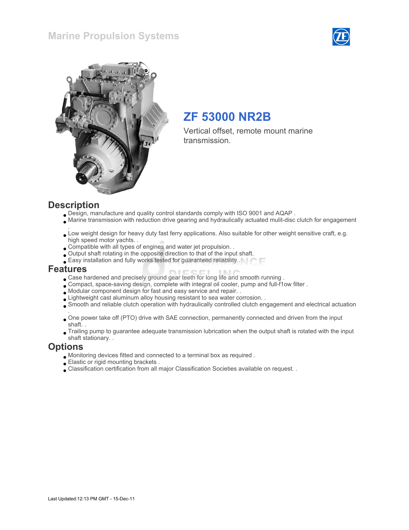### Marine Propulsion Systems





# ZF 53000 NR2B

Vertical offset, remote mount marine transmission.

### **Description**

- Design, manufacture and quality control standards comply with ISO 9001 and AQAP .
- Marine transmission with reduction drive gearing and hydraulically actuated mulit-disc clutch for engagement
- . Low weight design for heavy duty fast ferry applications. Also suitable for other weight sensitive craft, e.g. high speed motor yachts. .
- Compatible with all types of engines and water jet propulsion. .
- Output shaft rotating in the opposite direction to that of the input shaft.
- Easy installation and fully works tested for guaranteed reliability .

### Features

- Case hardened and precisely ground gear teeth for long life and smooth running .
- Compact, space-saving design, complete with integral oil cooler, pump and full-f1ow filter .
- Modular component design for fast and easy service and repair. .
- Lightweight cast aluminum alloy housing resistant to sea water corrosion. .
- Smooth and reliable clutch operation with hydraulically controlled clutch engagement and electrical actuation
- . One power take off (PTO) drive with SAE connection, permanently connected and driven from the input shaft. .
- Trailing pump to guarantee adequate transmission lubrication when the output shaft is rotated with the input shaft stationary. .

### **Options**

- Monitoring devices fitted and connected to a terminal box as required .
- Elastic or rigid mounting brackets .
- Classification certification from all major Classification Societies available on request. .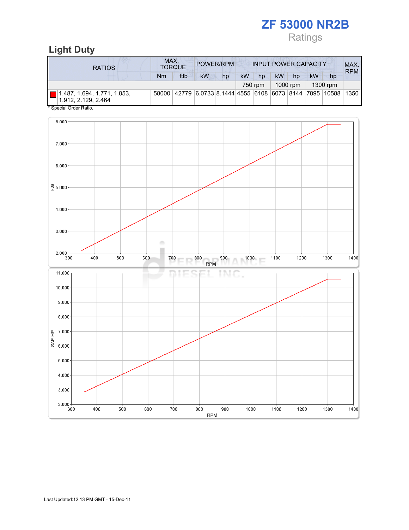# ZF 53000 NR2B Ratings

# Light Duty

| <b>RATIOS</b>                                      | MAX.<br><b>INPUT POWER CAPACITY</b><br>POWER/RPM<br><b>TORQUE</b> |      |                                                               |    |    |         |           |          |           |          | MAX.<br><b>RPM</b> |
|----------------------------------------------------|-------------------------------------------------------------------|------|---------------------------------------------------------------|----|----|---------|-----------|----------|-----------|----------|--------------------|
|                                                    | Nm                                                                | ftlb | <b>kW</b>                                                     | hp | kW | hp      | <b>kW</b> | hp       | <b>kW</b> | hp       |                    |
|                                                    |                                                                   |      |                                                               |    |    | 750 rpm |           | 1000 rpm |           | 1300 rpm |                    |
| 1.487, 1.694, 1.771, 1.853,<br>1.912. 2.129. 2.464 |                                                                   |      | 58000 42779 6.0733 8.1444 4555 6108 6073 8144 7895 10588 1350 |    |    |         |           |          |           |          |                    |
| * Special Order Ratio.                             |                                                                   |      |                                                               |    |    |         |           |          |           |          |                    |

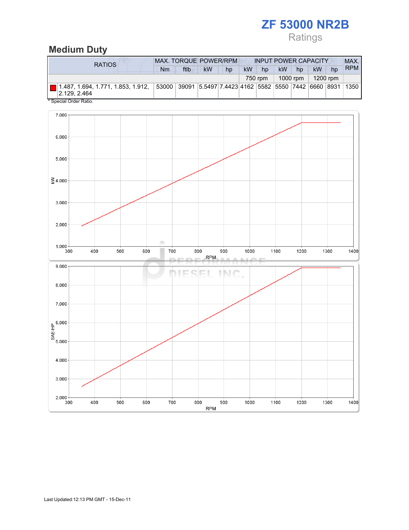# ZF 53000 NR2B

# Ratings

### Medium Duty

| RATIOS                                             | <b>MAX. TORQUE POWER/RPM</b>                                              | <b>INPUT POWER CAPACITY</b> |           |    |           |         |           | MAX.     |           |    |            |
|----------------------------------------------------|---------------------------------------------------------------------------|-----------------------------|-----------|----|-----------|---------|-----------|----------|-----------|----|------------|
|                                                    | Nm                                                                        | ftlb                        | <b>kW</b> | hp | <b>kW</b> | hp      | <b>kW</b> | hp       | <b>kW</b> | hp | <b>RPM</b> |
|                                                    |                                                                           |                             |           |    |           | 750 rpm |           | 1000 rpm | 1200 rpm  |    |            |
| 1.487, 1.694, 1.771, 1.853, 1.912,<br>2.129, 2.464 | 53000   39091   5.5497   7.4423   4162   5582   5550   7442   6660   8931 |                             |           |    |           |         |           |          |           |    | 1350       |

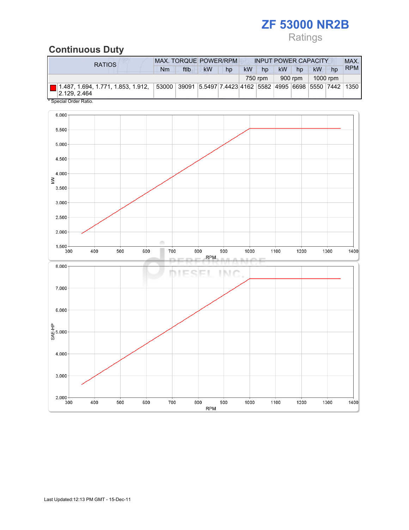# ZF 53000 NR2B

# Ratings

### Continuous Duty

| <b>RATIOS</b> |  | <b>MAX. TORQUE POWER/RPM</b>                                           |           |    |           | <b>INPUT POWER CAPACITY</b> |           |         |           |          |            |
|---------------|--|------------------------------------------------------------------------|-----------|----|-----------|-----------------------------|-----------|---------|-----------|----------|------------|
|               |  | ftlb                                                                   | <b>kW</b> | hp | <b>kW</b> | hp                          | <b>kW</b> | hp      | <b>kW</b> | hp       | <b>RPM</b> |
|               |  |                                                                        |           |    |           | 750 rpm                     |           | 900 rpm |           | 1000 rpm |            |
| 2.129.2.464   |  | 53000   39091  5.5497 7.4423 4162  5582  4995  6698  5550  7442   1350 |           |    |           |                             |           |         |           |          |            |

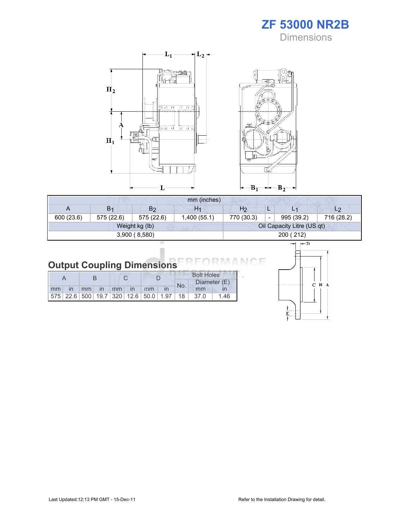ZF 53000 NR2B **Dimensions** 



|            |                |                | mm (inches)    |                |                          |                            |            |
|------------|----------------|----------------|----------------|----------------|--------------------------|----------------------------|------------|
| A          | B <sub>1</sub> | B <sub>2</sub> | H <sub>1</sub> | H <sub>2</sub> |                          |                            | $-2$       |
| 600 (23.6) | 575 (22.6)     | 575 (22.6)     | 1,400(55.1)    | 770 (30.3)     | $\overline{\phantom{0}}$ | 995 (39.2)                 | 716 (28.2) |
|            |                | Weight kg (lb) |                |                |                          | Oil Capacity Litre (US qt) |            |
|            | 200 (212)      |                |                |                |                          |                            |            |
|            |                |                |                |                |                          | $\leftarrow$ D             |            |

#### Output Coupling Dimensions N.

i.

|       |  |  |  |                |  |  | <b>Bolt Holes</b> |                                                 |      |
|-------|--|--|--|----------------|--|--|-------------------|-------------------------------------------------|------|
|       |  |  |  |                |  |  | No.               | Diameter (E)                                    |      |
| mm in |  |  |  | mm in mm in mm |  |  |                   | mm                                              |      |
|       |  |  |  |                |  |  |                   | $ 575 22.6 500 19.7 320 12.6 50.0 1.97 18 37.0$ | 1.46 |